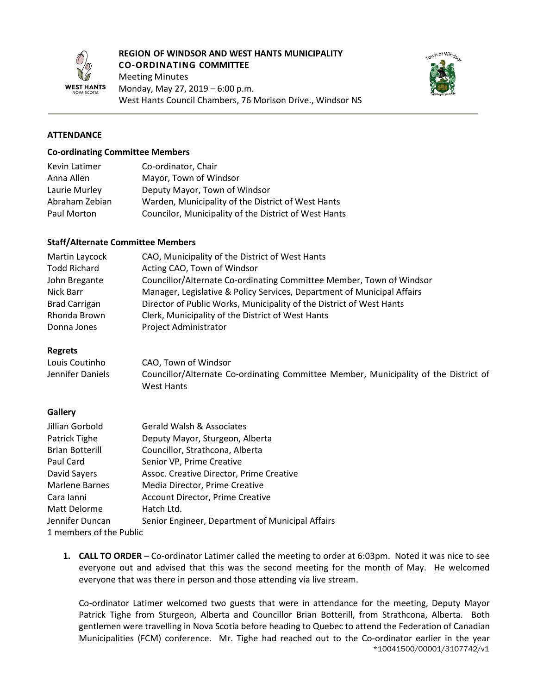

#### **REGION OF WINDSOR AND WEST HANTS MUNICIPALITY CO-ORDINATING COMMITTEE**

Meeting Minutes Monday, May 27, 2019 – 6:00 p.m. West Hants Council Chambers, 76 Morison Drive., Windsor NS



## **ATTENDANCE**

#### **Co-ordinating Committee Members**

| Kevin Latimer  | Co-ordinator, Chair                                   |
|----------------|-------------------------------------------------------|
| Anna Allen     | Mayor, Town of Windsor                                |
| Laurie Murley  | Deputy Mayor, Town of Windsor                         |
| Abraham Zebian | Warden, Municipality of the District of West Hants    |
| Paul Morton    | Councilor, Municipality of the District of West Hants |

#### **Staff/Alternate Committee Members**

| Martin Laycock       | CAO, Municipality of the District of West Hants                         |
|----------------------|-------------------------------------------------------------------------|
| <b>Todd Richard</b>  | Acting CAO, Town of Windsor                                             |
| John Bregante        | Councillor/Alternate Co-ordinating Committee Member, Town of Windsor    |
| Nick Barr            | Manager, Legislative & Policy Services, Department of Municipal Affairs |
| <b>Brad Carrigan</b> | Director of Public Works, Municipality of the District of West Hants    |
| Rhonda Brown         | Clerk, Municipality of the District of West Hants                       |
| Donna Jones          | Project Administrator                                                   |

#### **Regrets**

| Louis Coutinho   | CAO, Town of Windsor                                                                 |
|------------------|--------------------------------------------------------------------------------------|
| Jennifer Daniels | Councillor/Alternate Co-ordinating Committee Member, Municipality of the District of |
|                  | West Hants                                                                           |

#### **Gallery**

| Jillian Gorbold         | <b>Gerald Walsh &amp; Associates</b>             |
|-------------------------|--------------------------------------------------|
| Patrick Tighe           | Deputy Mayor, Sturgeon, Alberta                  |
| <b>Brian Botterill</b>  | Councillor, Strathcona, Alberta                  |
| Paul Card               | Senior VP, Prime Creative                        |
| David Sayers            | Assoc. Creative Director, Prime Creative         |
| <b>Marlene Barnes</b>   | Media Director, Prime Creative                   |
| Cara Ianni              | <b>Account Director, Prime Creative</b>          |
| Matt Delorme            | Hatch Ltd.                                       |
| Jennifer Duncan         | Senior Engineer, Department of Municipal Affairs |
| 1 members of the Public |                                                  |

**1. CALL TO ORDER** – Co-ordinator Latimer called the meeting to order at 6:03pm. Noted it was nice to see everyone out and advised that this was the second meeting for the month of May. He welcomed everyone that was there in person and those attending via live stream.

\*10041500/00001/3107742/v1 Co-ordinator Latimer welcomed two guests that were in attendance for the meeting, Deputy Mayor Patrick Tighe from Sturgeon, Alberta and Councillor Brian Botterill, from Strathcona, Alberta. Both gentlemen were travelling in Nova Scotia before heading to Quebec to attend the Federation of Canadian Municipalities (FCM) conference. Mr. Tighe had reached out to the Co-ordinator earlier in the year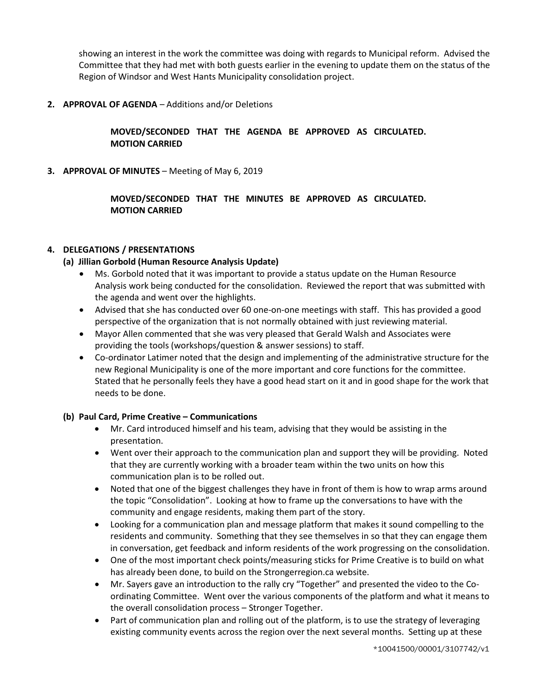showing an interest in the work the committee was doing with regards to Municipal reform. Advised the Committee that they had met with both guests earlier in the evening to update them on the status of the Region of Windsor and West Hants Municipality consolidation project.

**2. APPROVAL OF AGENDA** – Additions and/or Deletions

# **MOVED/SECONDED THAT THE AGENDA BE APPROVED AS CIRCULATED. MOTION CARRIED**

**3. APPROVAL OF MINUTES** – Meeting of May 6, 2019

**MOVED/SECONDED THAT THE MINUTES BE APPROVED AS CIRCULATED. MOTION CARRIED**

### **4. DELEGATIONS / PRESENTATIONS**

#### **(a) Jillian Gorbold (Human Resource Analysis Update)**

- Ms. Gorbold noted that it was important to provide a status update on the Human Resource Analysis work being conducted for the consolidation. Reviewed the report that was submitted with the agenda and went over the highlights.
- Advised that she has conducted over 60 one-on-one meetings with staff. This has provided a good perspective of the organization that is not normally obtained with just reviewing material.
- Mayor Allen commented that she was very pleased that Gerald Walsh and Associates were providing the tools (workshops/question & answer sessions) to staff.
- Co-ordinator Latimer noted that the design and implementing of the administrative structure for the new Regional Municipality is one of the more important and core functions for the committee. Stated that he personally feels they have a good head start on it and in good shape for the work that needs to be done.

#### **(b) Paul Card, Prime Creative – Communications**

- Mr. Card introduced himself and his team, advising that they would be assisting in the presentation.
- Went over their approach to the communication plan and support they will be providing. Noted that they are currently working with a broader team within the two units on how this communication plan is to be rolled out.
- Noted that one of the biggest challenges they have in front of them is how to wrap arms around the topic "Consolidation". Looking at how to frame up the conversations to have with the community and engage residents, making them part of the story.
- Looking for a communication plan and message platform that makes it sound compelling to the residents and community. Something that they see themselves in so that they can engage them in conversation, get feedback and inform residents of the work progressing on the consolidation.
- One of the most important check points/measuring sticks for Prime Creative is to build on what has already been done, to build on the Strongerregion.ca website.
- Mr. Sayers gave an introduction to the rally cry "Together" and presented the video to the Coordinating Committee. Went over the various components of the platform and what it means to the overall consolidation process – Stronger Together.
- Part of communication plan and rolling out of the platform, is to use the strategy of leveraging existing community events across the region over the next several months. Setting up at these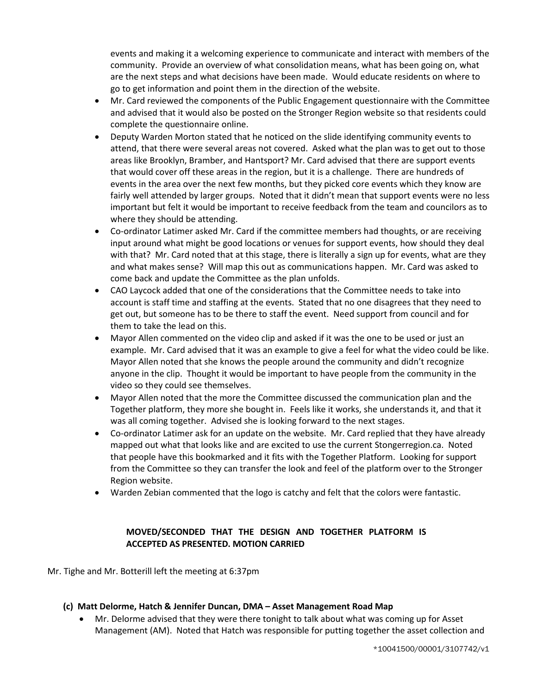events and making it a welcoming experience to communicate and interact with members of the community. Provide an overview of what consolidation means, what has been going on, what are the next steps and what decisions have been made. Would educate residents on where to go to get information and point them in the direction of the website.

- Mr. Card reviewed the components of the Public Engagement questionnaire with the Committee and advised that it would also be posted on the Stronger Region website so that residents could complete the questionnaire online.
- Deputy Warden Morton stated that he noticed on the slide identifying community events to attend, that there were several areas not covered. Asked what the plan was to get out to those areas like Brooklyn, Bramber, and Hantsport? Mr. Card advised that there are support events that would cover off these areas in the region, but it is a challenge. There are hundreds of events in the area over the next few months, but they picked core events which they know are fairly well attended by larger groups. Noted that it didn't mean that support events were no less important but felt it would be important to receive feedback from the team and councilors as to where they should be attending.
- Co-ordinator Latimer asked Mr. Card if the committee members had thoughts, or are receiving input around what might be good locations or venues for support events, how should they deal with that? Mr. Card noted that at this stage, there is literally a sign up for events, what are they and what makes sense? Will map this out as communications happen. Mr. Card was asked to come back and update the Committee as the plan unfolds.
- CAO Laycock added that one of the considerations that the Committee needs to take into account is staff time and staffing at the events. Stated that no one disagrees that they need to get out, but someone has to be there to staff the event. Need support from council and for them to take the lead on this.
- Mayor Allen commented on the video clip and asked if it was the one to be used or just an example. Mr. Card advised that it was an example to give a feel for what the video could be like. Mayor Allen noted that she knows the people around the community and didn't recognize anyone in the clip. Thought it would be important to have people from the community in the video so they could see themselves.
- Mayor Allen noted that the more the Committee discussed the communication plan and the Together platform, they more she bought in. Feels like it works, she understands it, and that it was all coming together. Advised she is looking forward to the next stages.
- Co-ordinator Latimer ask for an update on the website. Mr. Card replied that they have already mapped out what that looks like and are excited to use the current Stongerregion.ca. Noted that people have this bookmarked and it fits with the Together Platform. Looking for support from the Committee so they can transfer the look and feel of the platform over to the Stronger Region website.
- Warden Zebian commented that the logo is catchy and felt that the colors were fantastic.

# **MOVED/SECONDED THAT THE DESIGN AND TOGETHER PLATFORM IS ACCEPTED AS PRESENTED. MOTION CARRIED**

Mr. Tighe and Mr. Botterill left the meeting at 6:37pm

# **(c) Matt Delorme, Hatch & Jennifer Duncan, DMA – Asset Management Road Map**

• Mr. Delorme advised that they were there tonight to talk about what was coming up for Asset Management (AM). Noted that Hatch was responsible for putting together the asset collection and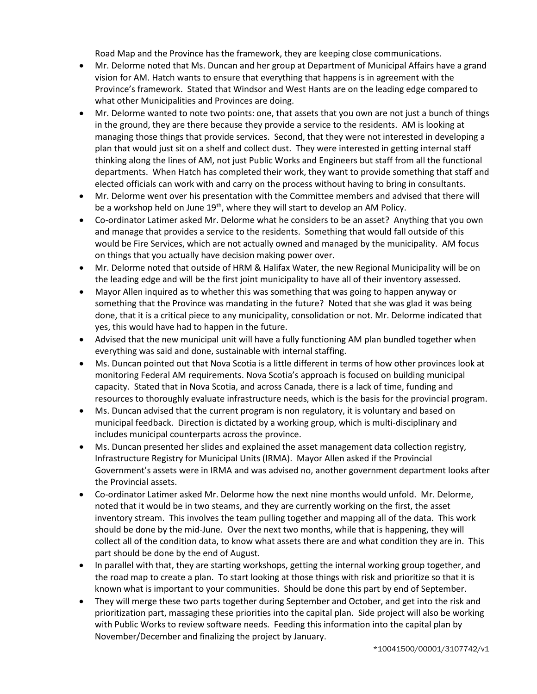Road Map and the Province has the framework, they are keeping close communications.

- Mr. Delorme noted that Ms. Duncan and her group at Department of Municipal Affairs have a grand vision for AM. Hatch wants to ensure that everything that happens is in agreement with the Province's framework. Stated that Windsor and West Hants are on the leading edge compared to what other Municipalities and Provinces are doing.
- Mr. Delorme wanted to note two points: one, that assets that you own are not just a bunch of things in the ground, they are there because they provide a service to the residents. AM is looking at managing those things that provide services. Second, that they were not interested in developing a plan that would just sit on a shelf and collect dust. They were interested in getting internal staff thinking along the lines of AM, not just Public Works and Engineers but staff from all the functional departments. When Hatch has completed their work, they want to provide something that staff and elected officials can work with and carry on the process without having to bring in consultants.
- Mr. Delorme went over his presentation with the Committee members and advised that there will be a workshop held on June 19<sup>th</sup>, where they will start to develop an AM Policy.
- Co-ordinator Latimer asked Mr. Delorme what he considers to be an asset? Anything that you own and manage that provides a service to the residents. Something that would fall outside of this would be Fire Services, which are not actually owned and managed by the municipality. AM focus on things that you actually have decision making power over.
- Mr. Delorme noted that outside of HRM & Halifax Water, the new Regional Municipality will be on the leading edge and will be the first joint municipality to have all of their inventory assessed.
- Mayor Allen inquired as to whether this was something that was going to happen anyway or something that the Province was mandating in the future? Noted that she was glad it was being done, that it is a critical piece to any municipality, consolidation or not. Mr. Delorme indicated that yes, this would have had to happen in the future.
- Advised that the new municipal unit will have a fully functioning AM plan bundled together when everything was said and done, sustainable with internal staffing.
- Ms. Duncan pointed out that Nova Scotia is a little different in terms of how other provinces look at monitoring Federal AM requirements. Nova Scotia's approach is focused on building municipal capacity. Stated that in Nova Scotia, and across Canada, there is a lack of time, funding and resources to thoroughly evaluate infrastructure needs, which is the basis for the provincial program.
- Ms. Duncan advised that the current program is non regulatory, it is voluntary and based on municipal feedback. Direction is dictated by a working group, which is multi-disciplinary and includes municipal counterparts across the province.
- Ms. Duncan presented her slides and explained the asset management data collection registry, Infrastructure Registry for Municipal Units (IRMA). Mayor Allen asked if the Provincial Government's assets were in IRMA and was advised no, another government department looks after the Provincial assets.
- Co-ordinator Latimer asked Mr. Delorme how the next nine months would unfold. Mr. Delorme, noted that it would be in two steams, and they are currently working on the first, the asset inventory stream. This involves the team pulling together and mapping all of the data. This work should be done by the mid-June. Over the next two months, while that is happening, they will collect all of the condition data, to know what assets there are and what condition they are in. This part should be done by the end of August.
- In parallel with that, they are starting workshops, getting the internal working group together, and the road map to create a plan. To start looking at those things with risk and prioritize so that it is known what is important to your communities. Should be done this part by end of September.
- They will merge these two parts together during September and October, and get into the risk and prioritization part, massaging these priorities into the capital plan. Side project will also be working with Public Works to review software needs. Feeding this information into the capital plan by November/December and finalizing the project by January.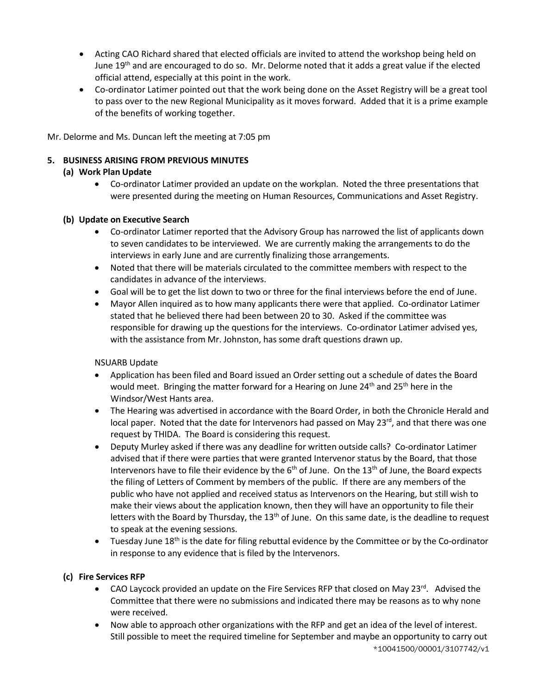- Acting CAO Richard shared that elected officials are invited to attend the workshop being held on June 19<sup>th</sup> and are encouraged to do so. Mr. Delorme noted that it adds a great value if the elected official attend, especially at this point in the work.
- Co-ordinator Latimer pointed out that the work being done on the Asset Registry will be a great tool to pass over to the new Regional Municipality as it moves forward. Added that it is a prime example of the benefits of working together.

Mr. Delorme and Ms. Duncan left the meeting at 7:05 pm

# **5. BUSINESS ARISING FROM PREVIOUS MINUTES**

# **(a) Work Plan Update**

• Co-ordinator Latimer provided an update on the workplan. Noted the three presentations that were presented during the meeting on Human Resources, Communications and Asset Registry.

## **(b) Update on Executive Search**

- Co-ordinator Latimer reported that the Advisory Group has narrowed the list of applicants down to seven candidates to be interviewed. We are currently making the arrangements to do the interviews in early June and are currently finalizing those arrangements.
- Noted that there will be materials circulated to the committee members with respect to the candidates in advance of the interviews.
- Goal will be to get the list down to two or three for the final interviews before the end of June.
- Mayor Allen inquired as to how many applicants there were that applied. Co-ordinator Latimer stated that he believed there had been between 20 to 30. Asked if the committee was responsible for drawing up the questions for the interviews. Co-ordinator Latimer advised yes, with the assistance from Mr. Johnston, has some draft questions drawn up.

# NSUARB Update

- Application has been filed and Board issued an Order setting out a schedule of dates the Board would meet. Bringing the matter forward for a Hearing on June  $24<sup>th</sup>$  and  $25<sup>th</sup>$  here in the Windsor/West Hants area.
- The Hearing was advertised in accordance with the Board Order, in both the Chronicle Herald and local paper. Noted that the date for Intervenors had passed on May  $23^{rd}$ , and that there was one request by THIDA. The Board is considering this request.
- Deputy Murley asked if there was any deadline for written outside calls? Co-ordinator Latimer advised that if there were parties that were granted Intervenor status by the Board, that those Intervenors have to file their evidence by the  $6<sup>th</sup>$  of June. On the  $13<sup>th</sup>$  of June, the Board expects the filing of Letters of Comment by members of the public. If there are any members of the public who have not applied and received status as Intervenors on the Hearing, but still wish to make their views about the application known, then they will have an opportunity to file their letters with the Board by Thursday, the  $13<sup>th</sup>$  of June. On this same date, is the deadline to request to speak at the evening sessions.
- $\bullet$  Tuesday June 18<sup>th</sup> is the date for filing rebuttal evidence by the Committee or by the Co-ordinator in response to any evidence that is filed by the Intervenors.

# **(c) Fire Services RFP**

- CAO Laycock provided an update on the Fire Services RFP that closed on May 23 $^{\text{rd}}$ . Advised the Committee that there were no submissions and indicated there may be reasons as to why none were received.
- \*10041500/00001/3107742/v1 • Now able to approach other organizations with the RFP and get an idea of the level of interest. Still possible to meet the required timeline for September and maybe an opportunity to carry out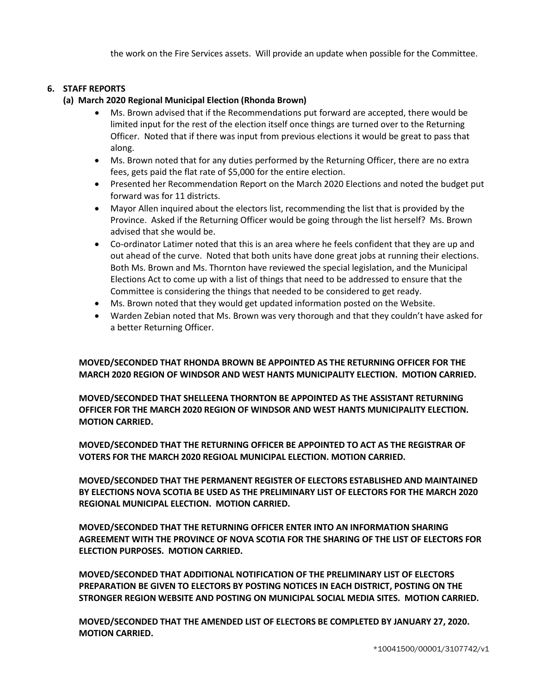the work on the Fire Services assets. Will provide an update when possible for the Committee.

## **6. STAFF REPORTS**

- **(a) March 2020 Regional Municipal Election (Rhonda Brown)**
	- Ms. Brown advised that if the Recommendations put forward are accepted, there would be limited input for the rest of the election itself once things are turned over to the Returning Officer. Noted that if there was input from previous elections it would be great to pass that along.
	- Ms. Brown noted that for any duties performed by the Returning Officer, there are no extra fees, gets paid the flat rate of \$5,000 for the entire election.
	- Presented her Recommendation Report on the March 2020 Elections and noted the budget put forward was for 11 districts.
	- Mayor Allen inquired about the electors list, recommending the list that is provided by the Province. Asked if the Returning Officer would be going through the list herself? Ms. Brown advised that she would be.
	- Co-ordinator Latimer noted that this is an area where he feels confident that they are up and out ahead of the curve. Noted that both units have done great jobs at running their elections. Both Ms. Brown and Ms. Thornton have reviewed the special legislation, and the Municipal Elections Act to come up with a list of things that need to be addressed to ensure that the Committee is considering the things that needed to be considered to get ready.
	- Ms. Brown noted that they would get updated information posted on the Website.
	- Warden Zebian noted that Ms. Brown was very thorough and that they couldn't have asked for a better Returning Officer.

**MOVED/SECONDED THAT RHONDA BROWN BE APPOINTED AS THE RETURNING OFFICER FOR THE MARCH 2020 REGION OF WINDSOR AND WEST HANTS MUNICIPALITY ELECTION. MOTION CARRIED.**

**MOVED/SECONDED THAT SHELLEENA THORNTON BE APPOINTED AS THE ASSISTANT RETURNING OFFICER FOR THE MARCH 2020 REGION OF WINDSOR AND WEST HANTS MUNICIPALITY ELECTION. MOTION CARRIED.**

**MOVED/SECONDED THAT THE RETURNING OFFICER BE APPOINTED TO ACT AS THE REGISTRAR OF VOTERS FOR THE MARCH 2020 REGIOAL MUNICIPAL ELECTION. MOTION CARRIED.**

**MOVED/SECONDED THAT THE PERMANENT REGISTER OF ELECTORS ESTABLISHED AND MAINTAINED BY ELECTIONS NOVA SCOTIA BE USED AS THE PRELIMINARY LIST OF ELECTORS FOR THE MARCH 2020 REGIONAL MUNICIPAL ELECTION. MOTION CARRIED.**

**MOVED/SECONDED THAT THE RETURNING OFFICER ENTER INTO AN INFORMATION SHARING AGREEMENT WITH THE PROVINCE OF NOVA SCOTIA FOR THE SHARING OF THE LIST OF ELECTORS FOR ELECTION PURPOSES. MOTION CARRIED.**

**MOVED/SECONDED THAT ADDITIONAL NOTIFICATION OF THE PRELIMINARY LIST OF ELECTORS PREPARATION BE GIVEN TO ELECTORS BY POSTING NOTICES IN EACH DISTRICT, POSTING ON THE STRONGER REGION WEBSITE AND POSTING ON MUNICIPAL SOCIAL MEDIA SITES. MOTION CARRIED.**

**MOVED/SECONDED THAT THE AMENDED LIST OF ELECTORS BE COMPLETED BY JANUARY 27, 2020. MOTION CARRIED.**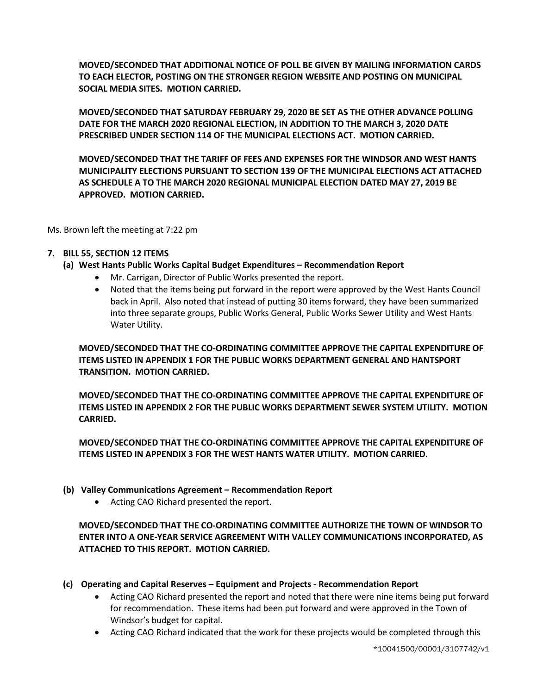**MOVED/SECONDED THAT ADDITIONAL NOTICE OF POLL BE GIVEN BY MAILING INFORMATION CARDS TO EACH ELECTOR, POSTING ON THE STRONGER REGION WEBSITE AND POSTING ON MUNICIPAL SOCIAL MEDIA SITES. MOTION CARRIED.**

**MOVED/SECONDED THAT SATURDAY FEBRUARY 29, 2020 BE SET AS THE OTHER ADVANCE POLLING DATE FOR THE MARCH 2020 REGIONAL ELECTION, IN ADDITION TO THE MARCH 3, 2020 DATE PRESCRIBED UNDER SECTION 114 OF THE MUNICIPAL ELECTIONS ACT. MOTION CARRIED.**

**MOVED/SECONDED THAT THE TARIFF OF FEES AND EXPENSES FOR THE WINDSOR AND WEST HANTS MUNICIPALITY ELECTIONS PURSUANT TO SECTION 139 OF THE MUNICIPAL ELECTIONS ACT ATTACHED AS SCHEDULE A TO THE MARCH 2020 REGIONAL MUNICIPAL ELECTION DATED MAY 27, 2019 BE APPROVED. MOTION CARRIED.**

Ms. Brown left the meeting at 7:22 pm

### **7. BILL 55, SECTION 12 ITEMS**

### **(a) West Hants Public Works Capital Budget Expenditures – Recommendation Report**

- Mr. Carrigan, Director of Public Works presented the report.
- Noted that the items being put forward in the report were approved by the West Hants Council back in April. Also noted that instead of putting 30 items forward, they have been summarized into three separate groups, Public Works General, Public Works Sewer Utility and West Hants Water Utility.

**MOVED/SECONDED THAT THE CO-ORDINATING COMMITTEE APPROVE THE CAPITAL EXPENDITURE OF ITEMS LISTED IN APPENDIX 1 FOR THE PUBLIC WORKS DEPARTMENT GENERAL AND HANTSPORT TRANSITION. MOTION CARRIED.**

**MOVED/SECONDED THAT THE CO-ORDINATING COMMITTEE APPROVE THE CAPITAL EXPENDITURE OF ITEMS LISTED IN APPENDIX 2 FOR THE PUBLIC WORKS DEPARTMENT SEWER SYSTEM UTILITY. MOTION CARRIED.**

**MOVED/SECONDED THAT THE CO-ORDINATING COMMITTEE APPROVE THE CAPITAL EXPENDITURE OF ITEMS LISTED IN APPENDIX 3 FOR THE WEST HANTS WATER UTILITY. MOTION CARRIED.**

- **(b) Valley Communications Agreement – Recommendation Report**
	- Acting CAO Richard presented the report.

## **MOVED/SECONDED THAT THE CO-ORDINATING COMMITTEE AUTHORIZE THE TOWN OF WINDSOR TO ENTER INTO A ONE-YEAR SERVICE AGREEMENT WITH VALLEY COMMUNICATIONS INCORPORATED, AS ATTACHED TO THIS REPORT. MOTION CARRIED.**

- **(c) Operating and Capital Reserves – Equipment and Projects - Recommendation Report**
	- Acting CAO Richard presented the report and noted that there were nine items being put forward for recommendation. These items had been put forward and were approved in the Town of Windsor's budget for capital.
	- Acting CAO Richard indicated that the work for these projects would be completed through this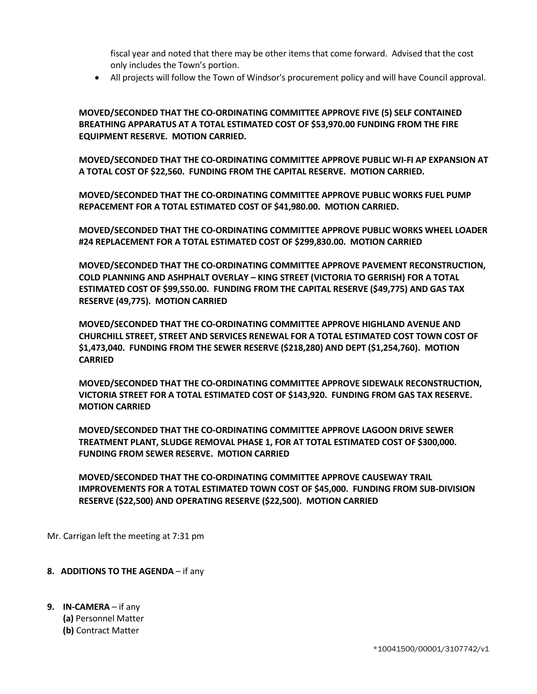fiscal year and noted that there may be other items that come forward. Advised that the cost only includes the Town's portion.

• All projects will follow the Town of Windsor's procurement policy and will have Council approval.

**MOVED/SECONDED THAT THE CO-ORDINATING COMMITTEE APPROVE FIVE (5) SELF CONTAINED BREATHING APPARATUS AT A TOTAL ESTIMATED COST OF \$53,970.00 FUNDING FROM THE FIRE EQUIPMENT RESERVE. MOTION CARRIED.**

**MOVED/SECONDED THAT THE CO-ORDINATING COMMITTEE APPROVE PUBLIC WI-FI AP EXPANSION AT A TOTAL COST OF \$22,560. FUNDING FROM THE CAPITAL RESERVE. MOTION CARRIED.**

**MOVED/SECONDED THAT THE CO-ORDINATING COMMITTEE APPROVE PUBLIC WORKS FUEL PUMP REPACEMENT FOR A TOTAL ESTIMATED COST OF \$41,980.00. MOTION CARRIED.**

**MOVED/SECONDED THAT THE CO-ORDINATING COMMITTEE APPROVE PUBLIC WORKS WHEEL LOADER #24 REPLACEMENT FOR A TOTAL ESTIMATED COST OF \$299,830.00. MOTION CARRIED**

**MOVED/SECONDED THAT THE CO-ORDINATING COMMITTEE APPROVE PAVEMENT RECONSTRUCTION, COLD PLANNING AND ASHPHALT OVERLAY – KING STREET (VICTORIA TO GERRISH) FOR A TOTAL ESTIMATED COST OF \$99,550.00. FUNDING FROM THE CAPITAL RESERVE (\$49,775) AND GAS TAX RESERVE (49,775). MOTION CARRIED**

**MOVED/SECONDED THAT THE CO-ORDINATING COMMITTEE APPROVE HIGHLAND AVENUE AND CHURCHILL STREET, STREET AND SERVICES RENEWAL FOR A TOTAL ESTIMATED COST TOWN COST OF \$1,473,040. FUNDING FROM THE SEWER RESERVE (\$218,280) AND DEPT (\$1,254,760). MOTION CARRIED**

**MOVED/SECONDED THAT THE CO-ORDINATING COMMITTEE APPROVE SIDEWALK RECONSTRUCTION, VICTORIA STREET FOR A TOTAL ESTIMATED COST OF \$143,920. FUNDING FROM GAS TAX RESERVE. MOTION CARRIED** 

**MOVED/SECONDED THAT THE CO-ORDINATING COMMITTEE APPROVE LAGOON DRIVE SEWER TREATMENT PLANT, SLUDGE REMOVAL PHASE 1, FOR AT TOTAL ESTIMATED COST OF \$300,000. FUNDING FROM SEWER RESERVE. MOTION CARRIED** 

**MOVED/SECONDED THAT THE CO-ORDINATING COMMITTEE APPROVE CAUSEWAY TRAIL IMPROVEMENTS FOR A TOTAL ESTIMATED TOWN COST OF \$45,000. FUNDING FROM SUB-DIVISION RESERVE (\$22,500) AND OPERATING RESERVE (\$22,500). MOTION CARRIED** 

Mr. Carrigan left the meeting at 7:31 pm

- **8. ADDITIONS TO THE AGENDA** if any
- **9. IN-CAMERA** if any **(a)** Personnel Matter **(b)** Contract Matter